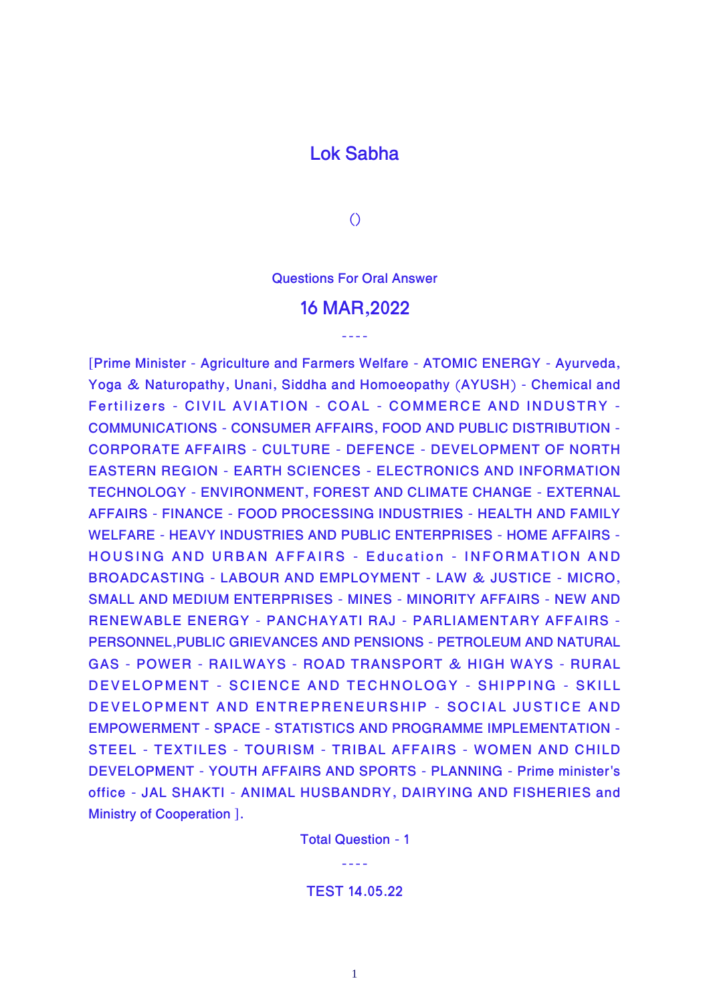## **Lok Sabha**

**()**

**Questions For Oral Answer**

## **16 MAR,2022**

----

**[Prime Minister - Agriculture and Farmers Welfare - ATOMIC ENERGY - Ayurveda, Yoga & Naturopathy, Unani, Siddha and Homoeopathy (AYUSH) - Chemical and Fertilizers - CIVIL AVIATION - COAL - COMMERCE AND INDUSTRY - COMMUNICATIONS - CONSUMER AFFAIRS, FOOD AND PUBLIC DISTRIBUTION - CORPORATE AFFAIRS - CULTURE - DEFENCE - DEVELOPMENT OF NORTH EASTERN REGION - EARTH SCIENCES - ELECTRONICS AND INFORMATION TECHNOLOGY - ENVIRONMENT, FOREST AND CLIMATE CHANGE - EXTERNAL AFFAIRS - FINANCE - FOOD PROCESSING INDUSTRIES - HEALTH AND FAMILY WELFARE - HEAVY INDUSTRIES AND PUBLIC ENTERPRISES - HOME AFFAIRS - HOUSING AND URBAN AFFAIRS - Education - INFORMATION AND BROADCASTING - LABOUR AND EMPLOYMENT - LAW & JUSTICE - MICRO, SMALL AND MEDIUM ENTERPRISES - MINES - MINORITY AFFAIRS - NEW AND RENEWABLE ENERGY - PANCHAYATI RAJ - PARLIAMENTARY AFFAIRS - PERSONNEL,PUBLIC GRIEVANCES AND PENSIONS - PETROLEUM AND NATURAL GAS - POWER - RAILWAYS - ROAD TRANSPORT & HIGH WAYS - RURAL DEVELOPMENT - SCIENCE AND TECHNOLOGY - SHIPPING - SKILL DEVELOPMENT AND ENTREPRENEURSHIP - SOCIAL JUSTICE AND EMPOWERMENT - SPACE - STATISTICS AND PROGRAMME IMPLEMENTATION - STEEL - TEXTILES - TOURISM - TRIBAL AFFAIRS - WOMEN AND CHILD DEVELOPMENT - YOUTH AFFAIRS AND SPORTS - PLANNING - Prime minister's office - JAL SHAKTI - ANIMAL HUSBANDRY, DAIRYING AND FISHERIES and Ministry of Cooperation ].**

**Total Question - 1**

----

## **TEST 14.05.22**